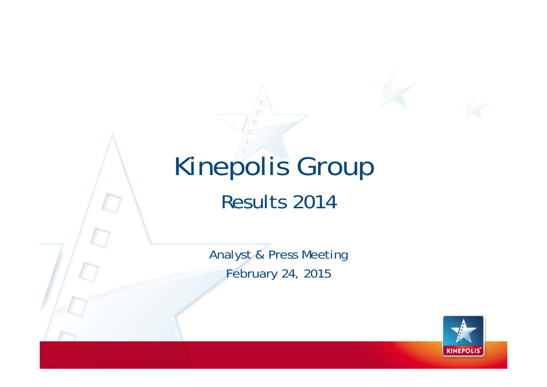# Kinepolis Group Results 2014 Analyst & Press Meeting February 24, 2015

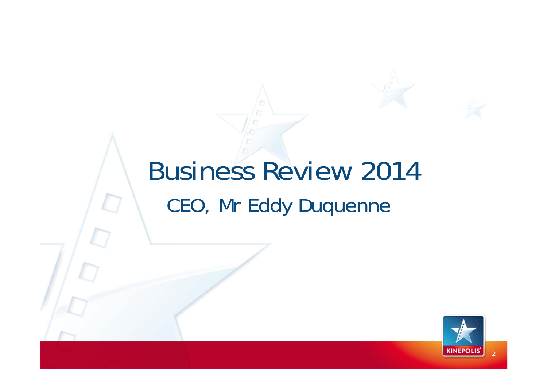# Business Review 2014 CEO, Mr Eddy Duquenne

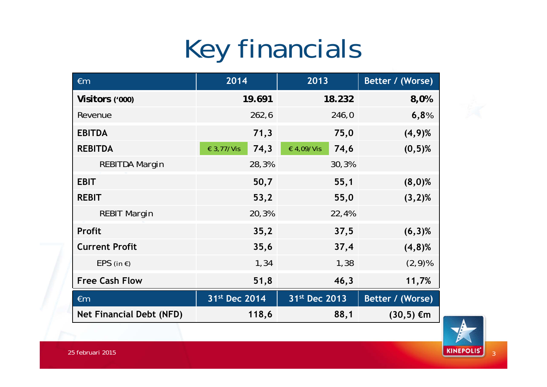# Key financials

| $\epsilon$ m                    | 2014               | 2013               | Better / (Worse) |
|---------------------------------|--------------------|--------------------|------------------|
| Visitors ('000)                 | 19.691             | 18.232             | 8,0%             |
| Revenue                         | 262,6              | 246,0              | 6,8%             |
| <b>EBITDA</b>                   | 71,3               | 75,0               | $(4,9)$ %        |
| <b>REBITDA</b>                  | 74,3<br>€ 3,77/Vis | 74,6<br>€ 4,09/Vis | $(0,5)$ %        |
| <b>REBITDA Margin</b>           | 28,3%              | 30,3%              |                  |
| <b>EBIT</b>                     | 50,7               | 55,1               | $(8,0)$ %        |
| <b>REBIT</b>                    | 53,2               | 55,0               | $(3,2)$ %        |
| <b>REBIT Margin</b>             | 20,3%              | 22,4%              |                  |
| <b>Profit</b>                   | 35,2               | 37,5               | $(6,3)$ %        |
| <b>Current Profit</b>           | 35,6               | 37,4               | $(4,8)$ %        |
| $EPS$ (in $\epsilon$ )          | 1,34               | 1,38               | $(2, 9)$ %       |
| <b>Free Cash Flow</b>           | 51,8               | 46,3               | 11,7%            |
| $\epsilon$ m                    | 31st Dec 2014      | 31st Dec 2013      | Better / (Worse) |
| <b>Net Financial Debt (NFD)</b> | 118,6              | 88,1               | $(30,5) \in m$   |

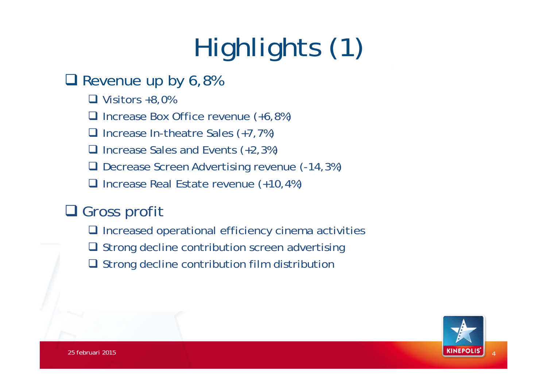# Highlights (1)

#### Revenue up by 6,8%

 $\Box$  Visitors +8,0%

□ Increase Box Office revenue (+6,8%)

□ Increase In-theatre Sales (+7,7%)

□ Increase Sales and Events (+2,3%)

□ Decrease Screen Advertising revenue (-14,3%)

□ Increase Real Estate revenue (+10,4%)

#### **□ Gross profit**

 $\Box$  Increased operational efficiency cinema activities

- $\Box$  Strong decline contribution screen advertising
- **□** Strong decline contribution film distribution

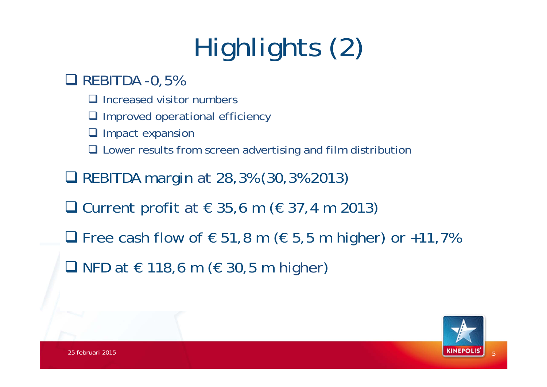# Highlights (2)

#### $\Box$  REBITDA -0,5%

- $\Box$  Increased visitor numbers
- **Q** Improved operational efficiency
- **Q** Impact expansion
- **□** Lower results from screen advertising and film distribution
- REBITDA margin at 28,3% (30,3% 2013)
- □ Current profit at  $\in$  35,6 m ( $\in$  37,4 m 2013)
- □ Free cash flow of  $\epsilon$  51,8 m ( $\epsilon$  5,5 m higher) or +11,7%
- NFD at  $\in$  118,6 m ( $\in$  30,5 m higher)

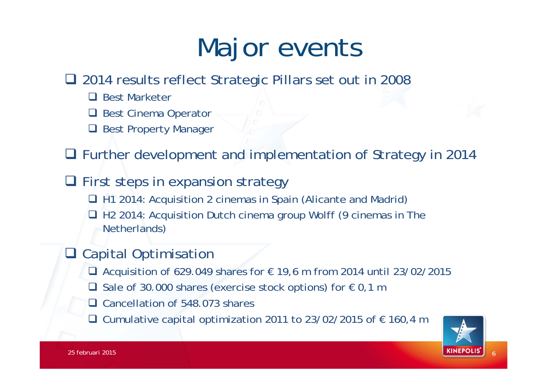# Major events

□ 2014 results reflect Strategic Pillars set out in 2008

- □ Best Marketer
- □ Best Cinema Operator
- **□ Best Property Manager**

■ Further development and implementation of Strategy in 2014

- **Q** First steps in expansion strategy
	- □ H1 2014: Acquisition 2 cinemas in Spain (Alicante and Madrid)
	- □ H2 2014: Acquisition Dutch cinema group Wolff (9 cinemas in The Netherlands)

#### **□** Capital Optimisation

- Acquisition of 629.049 shares for  $€ 19,6$  m from 2014 until 23/02/2015
- □ Sale of 30.000 shares (exercise stock options) for  $€ 0,1$  m
- □ Cancellation of 548.073 shares
- □ Cumulative capital optimization 2011 to 23/02/2015 of  $€ 160,4$  m

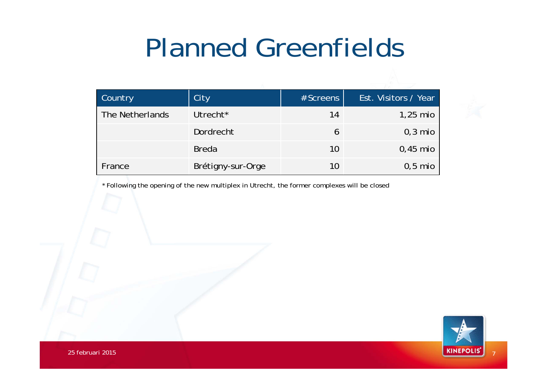#### Planned Greenfields

| <b>Country</b>  | City                 | # Screens | <b>Est. Visitors / Year</b> |
|-----------------|----------------------|-----------|-----------------------------|
| The Netherlands | Utrecht <sup>*</sup> | 14        | $1,25$ mio                  |
|                 | Dordrecht            | 6         | $0,3$ mio                   |
|                 | <b>Breda</b>         | 10        | $0,45$ mio                  |
| France          | Brétigny-sur-Orge    | 10        | $0,5$ mio                   |

\* Following the opening of the new multiplex in Utrecht, the former complexes will be closed

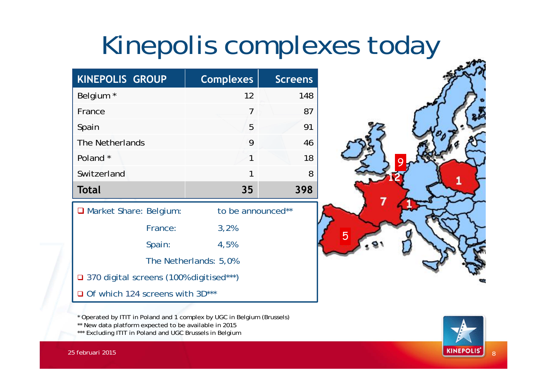# Kinepolis complexes today

| <b>KINEPOLIS GROUP</b>                    | <b>Complexes</b>      | <b>Screens</b> |  |  |  |
|-------------------------------------------|-----------------------|----------------|--|--|--|
| Belgium <sup>*</sup>                      | 12                    | 148            |  |  |  |
| France                                    | 7                     | 87             |  |  |  |
| Spain                                     | 5                     | 91             |  |  |  |
| The Netherlands                           | 9                     | 46             |  |  |  |
| Poland *                                  | 1                     | 18             |  |  |  |
| Switzerland                               | 1                     | 8              |  |  |  |
| Total                                     | 35                    | 398            |  |  |  |
| □ Market Share: Belgium:                  | to be announced**     |                |  |  |  |
| France:                                   | 3,2%                  |                |  |  |  |
| Spain:                                    | 4,5%                  |                |  |  |  |
|                                           | The Netherlands: 5,0% |                |  |  |  |
| □ 370 digital screens (100% digitised***) |                       |                |  |  |  |
|                                           |                       |                |  |  |  |

\* Operated by ITIT in Poland and 1 complex by UGC in Belgium (Brussels)

\*\* New data platform expected to be available in 2015

\*\*\* Excluding ITIT in Poland and UGC Brussels in Belgium



**12**

5

9

25 februari 2015

 $\mathsf{R}$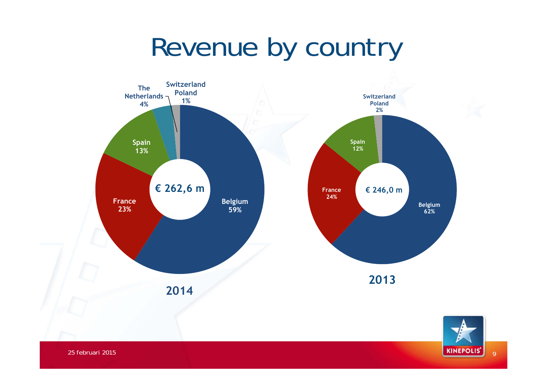# Revenue by country



 $\alpha$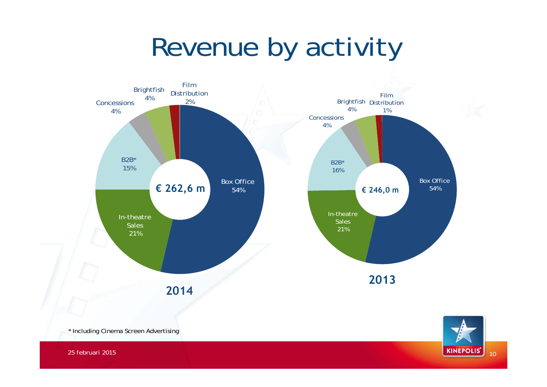# Revenue by activity



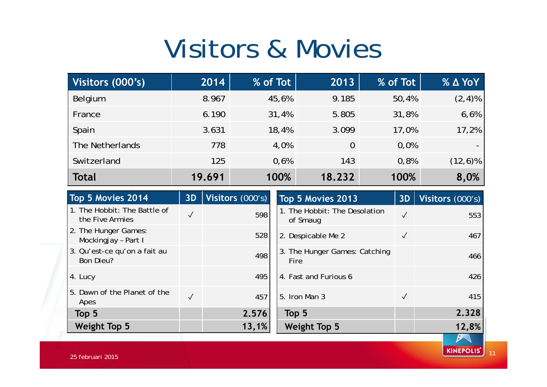# Visitors & Movies

| Visitors (000's) | 2014   | % of Tot | 2013           | % of Tot | <b>% ∆ YoY</b> |
|------------------|--------|----------|----------------|----------|----------------|
| Belgium          | 8.967  | 45,6%    | 9.185          | 50,4%    | $(2, 4)$ %     |
| France           | 6.190  | 31,4%    | 5.805          | 31,8%    | 6,6%           |
| Spain            | 3.631  | 18,4%    | 3.099          | 17,0%    | 17,2%          |
| The Netherlands  | 778    | 4,0%     | $\overline{0}$ | 0.0%     |                |
| Switzerland      | 125    | 0,6%     | 143            | 0,8%     | $(12,6)\%$     |
| <b>Total</b>     | 19.691 | 100%     | 18.232         | 100%     | 8,0%           |

| Top 5 Movies 2014                                | 3D           | Visitors (000's) | Top 5 Movies 2013                         | 3D           | Visitors (000's) |
|--------------------------------------------------|--------------|------------------|-------------------------------------------|--------------|------------------|
| 1. The Hobbit: The Battle of<br>the Five Armies  | √            | 598              | 1. The Hobbit: The Desolation<br>of Smaug | $\checkmark$ | 553              |
| 2. The Hunger Games:<br>Mockingjay - Part I      |              | 528              | 2. Despicable Me 2                        | $\checkmark$ | 467              |
| 3. Qu'est-ce qu'on a fait au<br><b>Bon Dieu?</b> |              | 498              | 3. The Hunger Games: Catching<br>Fire     |              | 466              |
| 4. Lucy                                          |              | 495              | 4. Fast and Furious 6                     |              | 426              |
| 5. Dawn of the Planet of the<br>Apes             | $\checkmark$ | 457              | 5. Iron Man 3                             | $\checkmark$ | 415              |
| Top 5                                            |              | 2.576            | Top 5                                     |              | 2.328            |
| <b>Weight Top 5</b>                              |              | 13,1%            | <b>Weight Top 5</b>                       |              | 12,8%            |

11

**KINEPOLIS'**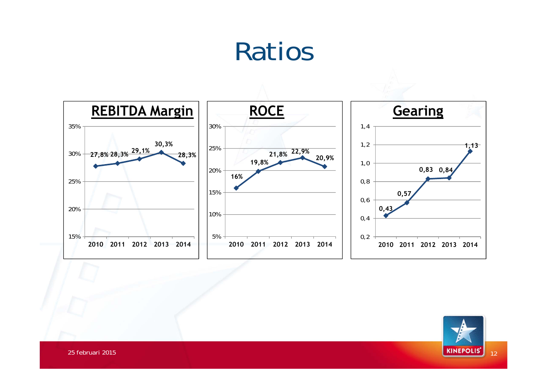# Ratios



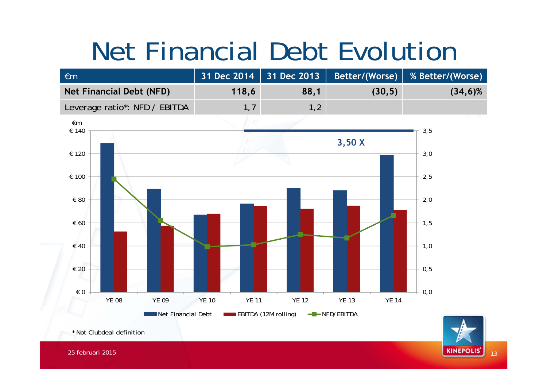# Net Financial Debt Evolution





**KINEPOLIS'** 13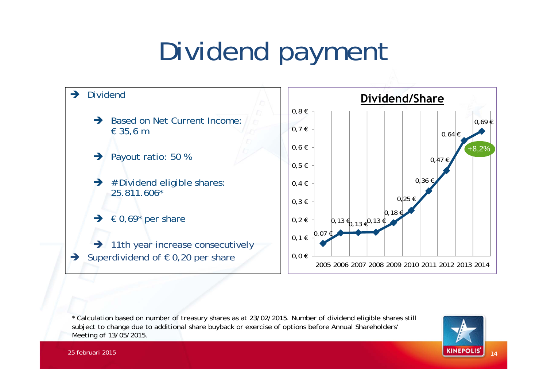# Dividend payment



\* Calculation based on number of treasury shares as at 23/02/2015. Number of dividend eligible shares still subject to change due to additional share buyback or exercise of options before Annual Shareholders' Meeting of 13/05/2015.

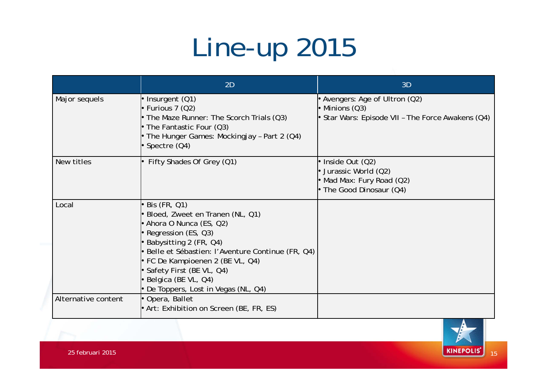# Line-up 2015

|                     | 2D                                                                                                                                                                                                                                                                                                                      | 3D                                                                                                    |
|---------------------|-------------------------------------------------------------------------------------------------------------------------------------------------------------------------------------------------------------------------------------------------------------------------------------------------------------------------|-------------------------------------------------------------------------------------------------------|
| Major sequels       | $\bullet$ Insurgent (Q1)<br>$\bullet$ Furious 7 (Q2)<br>• The Maze Runner: The Scorch Trials $(Q3)$<br>• The Fantastic Four $(Q3)$<br>• The Hunger Games: Mockingjay - Part 2 (Q4)<br>Spectre (Q4)                                                                                                                      | • Avengers: Age of Ultron (Q2)<br>• Minions (Q3)<br>Star Wars: Episode VII - The Force Awakens (Q4)   |
| New titles          | Fifty Shades Of Grey (Q1)                                                                                                                                                                                                                                                                                               | • Inside Out (Q2)<br>• Jurassic World $(Q2)$<br>• Mad Max: Fury Road (Q2)<br>• The Good Dinosaur (Q4) |
| Local               | Bis (FR, Q1)<br>Bloed, Zweet en Tranen (NL, Q1)<br>• Ahora O Nunca (ES, Q2)<br>• Regression (ES, Q3)<br>• Babysitting 2 (FR, Q4)<br>· Belle et Sébastien: l'Aventure Continue (FR, Q4)<br>• FC De Kampioenen 2 (BE VL, Q4)<br>Safety First (BE VL, Q4)<br>· Belgica (BE VL, Q4)<br>• De Toppers, Lost in Vegas (NL, Q4) |                                                                                                       |
| Alternative content | Opera, Ballet<br>$\bullet$ Art: Exhibition on Screen (BE, FR, ES)                                                                                                                                                                                                                                                       |                                                                                                       |

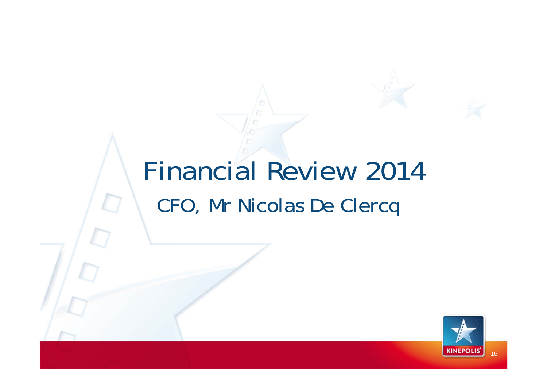# Financial Review 2014 CFO, Mr Nicolas De Clercq

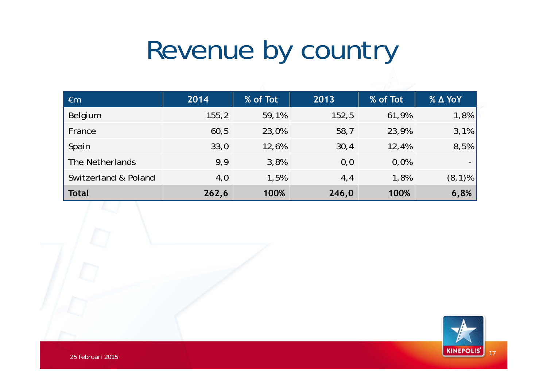# Revenue by country

| $\epsilon$ m         | 2014   | % of Tot | 2013  | % of Tot | $%$ $\triangle$ YoY      |
|----------------------|--------|----------|-------|----------|--------------------------|
| Belgium              | 155, 2 | 59,1%    | 152,5 | 61,9%    | 1,8%                     |
| France               | 60,5   | 23,0%    | 58,7  | 23,9%    | 3,1%                     |
| Spain                | 33,0   | 12,6%    | 30,4  | 12,4%    | 8,5%                     |
| The Netherlands      | 9,9    | 3,8%     | 0,0   | 0,0%     | $\overline{\phantom{0}}$ |
| Switzerland & Poland | 4,0    | 1,5%     | 4,4   | 1,8%     | $(8,1)\%$                |
| <b>Total</b>         | 262,6  | 100%     | 246,0 | 100%     | 6,8%                     |

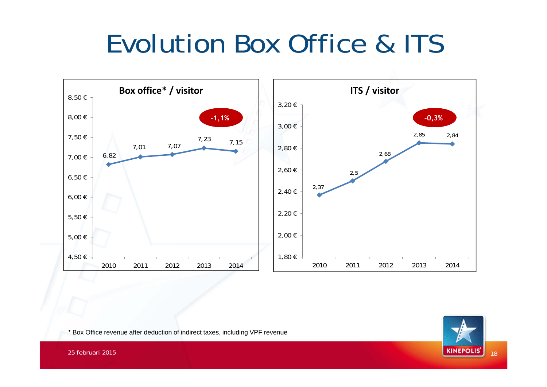# Evolution Box Office & ITS



\* Box Office revenue after deduction of indirect taxes, including VPF revenue

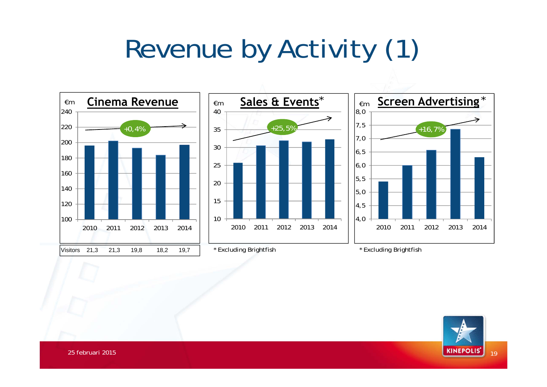# Revenue by Activity (1)



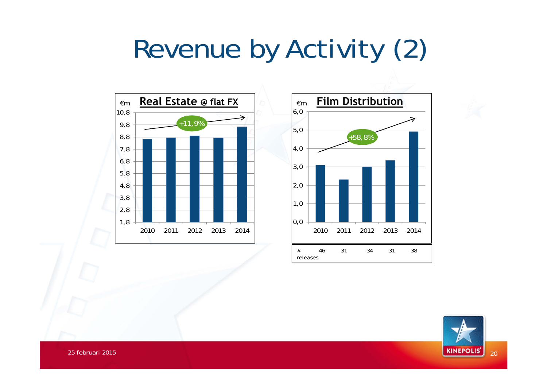# Revenue by Activity (2)





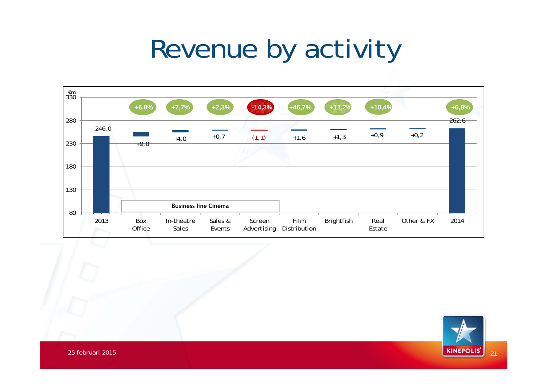# Revenue by activity



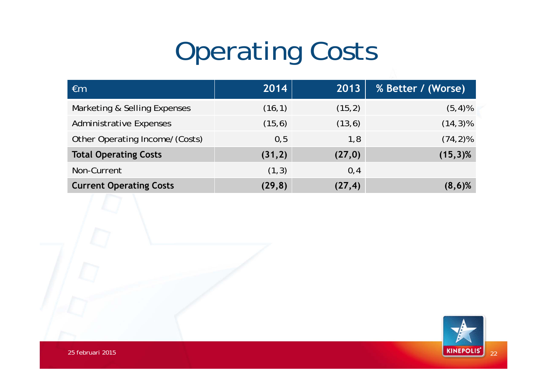# Operating Costs

| $\epsilon$ m                   | 2014    | 2013    | % Better / (Worse) |
|--------------------------------|---------|---------|--------------------|
| Marketing & Selling Expenses   | (16, 1) | (15,2)  | $(5,4)$ %          |
| <b>Administrative Expenses</b> | (15, 6) | (13, 6) | $(14,3)\%$         |
| Other Operating Income/(Costs) | 0,5     | 1,8     | $(74, 2)\%$        |
| <b>Total Operating Costs</b>   | (31,2)  | (27,0)  | $(15,3)\%$         |
| Non-Current                    | (1,3)   | 0,4     |                    |
| <b>Current Operating Costs</b> | (29, 8) | (27, 4) | $(8,6)$ %          |

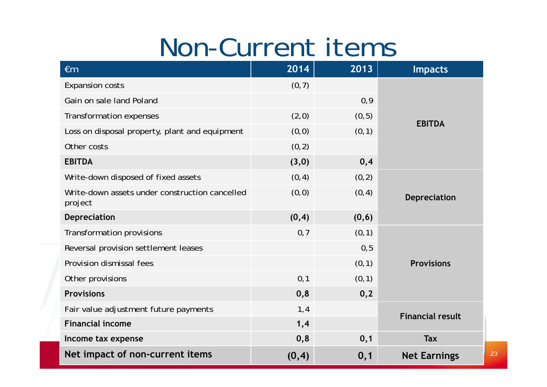#### Non-Current items

| $\epsilon$ m                                              | 2014   | 2013   | <b>Impacts</b>          |
|-----------------------------------------------------------|--------|--------|-------------------------|
| <b>Expansion costs</b>                                    | (0, 7) |        |                         |
| Gain on sale land Poland                                  |        | 0,9    |                         |
| Transformation expenses                                   | (2,0)  | (0, 5) | <b>EBITDA</b>           |
| Loss on disposal property, plant and equipment            | (0, 0) | (0, 1) |                         |
| Other costs                                               | (0, 2) |        |                         |
| <b>EBITDA</b>                                             | (3,0)  | 0,4    |                         |
| Write-down disposed of fixed assets                       | (0, 4) | (0, 2) |                         |
| Write-down assets under construction cancelled<br>project | (0, 0) | (0, 4) | <b>Depreciation</b>     |
| <b>Depreciation</b>                                       | (0, 4) | (0, 6) |                         |
| Transformation provisions                                 | 0,7    | (0, 1) |                         |
| Reversal provision settlement leases                      |        | 0, 5   |                         |
| Provision dismissal fees                                  |        | (0, 1) | <b>Provisions</b>       |
| Other provisions                                          | 0,1    | (0, 1) |                         |
| <b>Provisions</b>                                         | 0,8    | 0,2    |                         |
| Fair value adjustment future payments                     | 1,4    |        | <b>Financial result</b> |
| <b>Financial income</b>                                   | 1,4    |        |                         |
| Income tax expense                                        | 0,8    | 0,1    | <b>Tax</b>              |
| Net impact of non-current items                           | (0, 4) | 0,1    | <b>Net Earnings</b>     |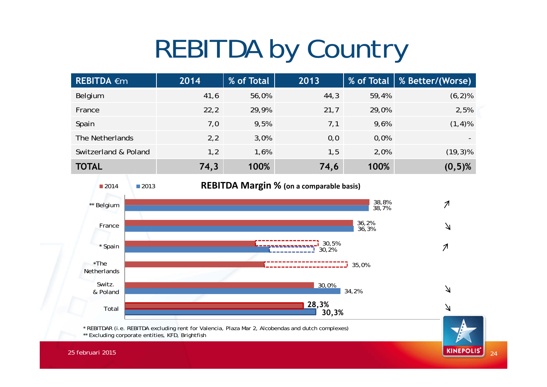# REBITDA by Country

| <b>REBITDA €m</b>    | 2014 | % of Total | 2013 | % of Total | <b>% Better7(Worse)</b> |
|----------------------|------|------------|------|------------|-------------------------|
| Belgium              | 41,6 | 56,0%      | 44,3 | 59,4%      | $(6, 2)$ %              |
| France               | 22,2 | 29,9%      | 21,7 | 29,0%      | 2,5%                    |
| Spain                | 7,0  | 9,5%       | 7,1  | 9,6%       | $(1, 4)$ %              |
| The Netherlands      | 2,2  | 3,0%       | 0,0  | 0,0%       |                         |
| Switzerland & Poland | 1,2  | 1,6%       | 1,5  | 2,0%       | $(19,3)\%$              |
| <b>TOTAL</b>         | 74,3 | 100%       | 74,6 | 100%       | $(0,5)$ %               |

 <sup>2013</sup> **REBITDA Margin % (on <sup>a</sup> comparable basis)** ■2014 38,8%  $\mathcal{I}$ \*\* Belgium 38,7% 36,2%  $\Delta$ France 36,3% 30,5%  $\boldsymbol{\mathcal{A}}$ \* Spain 30,2%  $^{\star}$ The 35,0% Netherlands 30,0% Switz.  $\Delta$ 34,2% & Poland **28,3%**  $\Delta$ Total **30,3%**

 $24$ 

**KINEPOLIS'** 

\* REBITDAR (i.e. REBITDA excluding rent for Valencia, Plaza Mar 2, Alcobendas and dutch complexes) \*\* Excluding corporate entities, KFD, Brightfish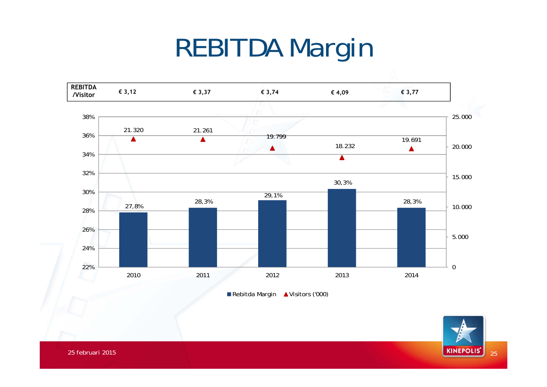# REBITDA Margin



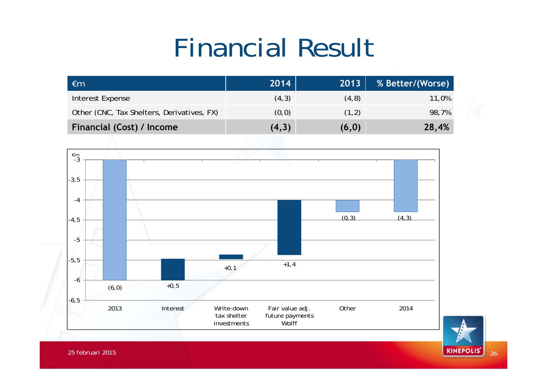# Financial Result



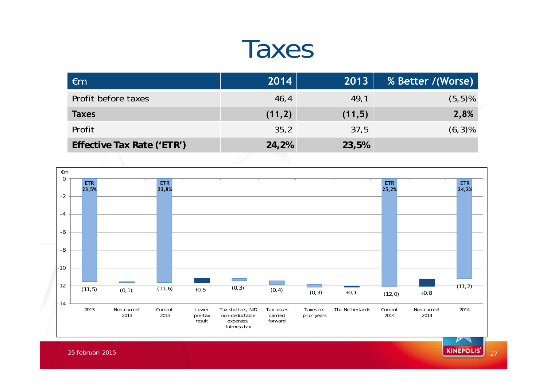#### Taxes

| $\epsilon$ m               | 2014   | 2013   | % Better /(Worse) |
|----------------------------|--------|--------|-------------------|
| Profit before taxes        | 46,4   | 49,1   | $(5,5)$ %         |
| <b>Taxes</b>               | (11,2) | (11,5) | 2,8%              |
| Profit                     | 35,2   | 37,5   | $(6,3)$ %         |
| Effective Tax Rate ('ETR') | 24,2%  | 23,5%  |                   |
|                            |        |        |                   |



 $27$ 

25 februari 2015 $27\,$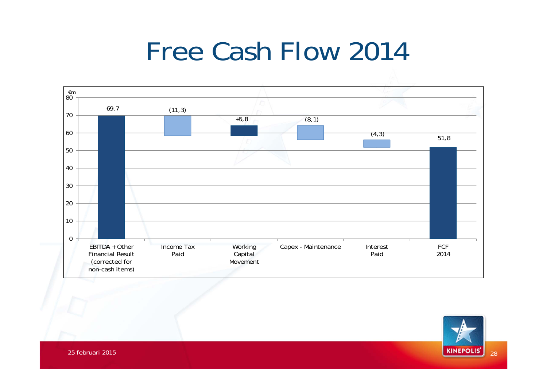# Free Cash Flow 2014



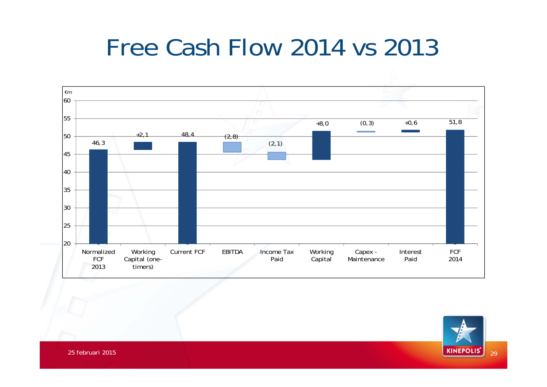#### Free Cash Flow 2014 vs 2013



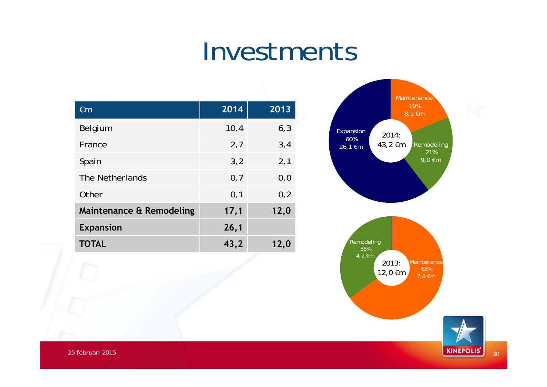#### Investments

| $\epsilon$ m             | 2014 | $\overline{2013}$ |
|--------------------------|------|-------------------|
| Belgium                  | 10,4 | 6, 3              |
| France                   | 2,7  | 3,4               |
| Spain                    | 3,2  | 2,1               |
| The Netherlands          | 0,7  | 0, 0              |
| Other                    | 0,1  | 0,2               |
| Maintenance & Remodeling | 17,1 | 12,0              |
| <b>Expansion</b>         | 26,1 |                   |
| <b>TOTAL</b>             | 43,2 | 12,0              |



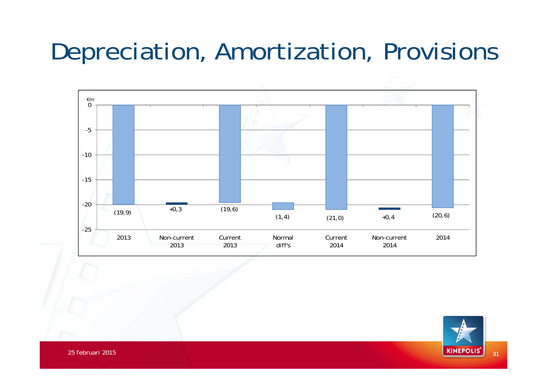#### Depreciation, Amortization, Provisions



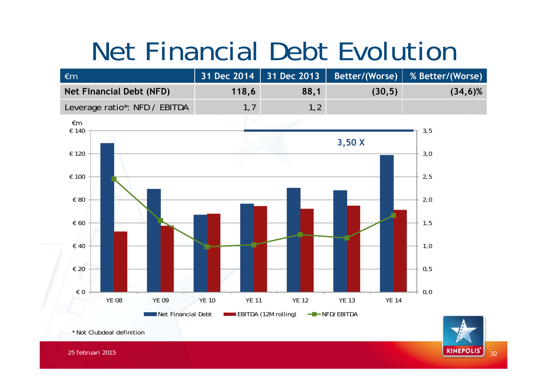# Net Financial Debt Evolution



32

**KINEPOLIS'**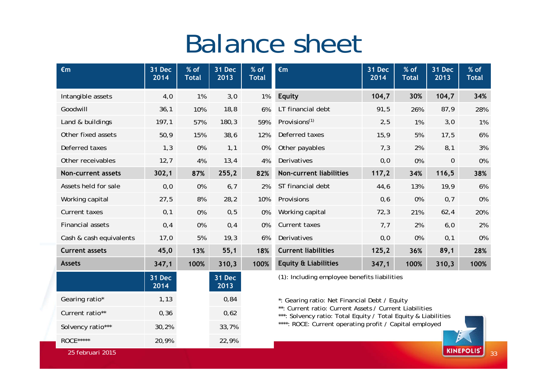#### Balance sheet

| $\epsilon$ m              | 31 Dec<br>2014 | % of<br><b>Total</b> | <b>31 Dec</b><br>2013 | % of<br><b>Total</b> | $\epsilon$ m                                                                                                                                                                                                                          | 31 Dec<br>2014 | % of<br><b>Total</b> | 31 Dec<br>2013 | % of<br><b>Total</b> |
|---------------------------|----------------|----------------------|-----------------------|----------------------|---------------------------------------------------------------------------------------------------------------------------------------------------------------------------------------------------------------------------------------|----------------|----------------------|----------------|----------------------|
| Intangible assets         | 4,0            | 1%                   | 3,0                   | 1%                   | <b>Equity</b>                                                                                                                                                                                                                         | 104,7          | 30%                  | 104,7          | 34%                  |
| Goodwill                  | 36,1           | 10%                  | 18,8                  | 6%                   | LT financial debt                                                                                                                                                                                                                     | 91,5           | 26%                  | 87,9           | 28%                  |
| Land & buildings          | 197,1          | 57%                  | 180,3                 | 59%                  | Provisions <sup>(1)</sup>                                                                                                                                                                                                             | 2,5            | 1%                   | 3,0            | 1%                   |
| Other fixed assets        | 50,9           | 15%                  | 38,6                  | 12%                  | Deferred taxes                                                                                                                                                                                                                        | 15,9           | 5%                   | 17,5           | 6%                   |
| Deferred taxes            | 1,3            | 0%                   | 1,1                   | 0%                   | Other payables                                                                                                                                                                                                                        | 7,3            | 2%                   | 8,1            | 3%                   |
| Other receivables         | 12,7           | 4%                   | 13,4                  | 4%                   | Derivatives                                                                                                                                                                                                                           | 0,0            | 0%                   | $\mathbf 0$    | 0%                   |
| <b>Non-current assets</b> | 302,1          | 87%                  | 255,2                 | 82%                  | Non-current liabilities                                                                                                                                                                                                               | 117,2          | 34%                  | 116,5          | 38%                  |
| Assets held for sale      | 0, 0           | 0%                   | 6,7                   | 2%                   | ST financial debt                                                                                                                                                                                                                     | 44,6           | 13%                  | 19,9           | 6%                   |
| Working capital           | 27,5           | 8%                   | 28,2                  | 10%                  | Provisions                                                                                                                                                                                                                            | 0,6            | 0%                   | 0,7            | 0%                   |
| Current taxes             | 0,1            | 0%                   | 0, 5                  | 0%                   | Working capital                                                                                                                                                                                                                       | 72,3           | 21%                  | 62,4           | 20%                  |
| <b>Financial assets</b>   | 0,4            | 0%                   | 0,4                   | 0%                   | Current taxes                                                                                                                                                                                                                         | 7,7            | 2%                   | 6,0            | 2%                   |
| Cash & cash equivalents   | 17,0           | 5%                   | 19,3                  | 6%                   | Derivatives                                                                                                                                                                                                                           | 0, 0           | 0%                   | 0,1            | 0%                   |
| <b>Current assets</b>     | 45,0           | 13%                  | 55,1                  | 18%                  | <b>Current liabilities</b>                                                                                                                                                                                                            | 125,2          | 36%                  | 89,1           | 28%                  |
| <b>Assets</b>             | 347,1          | 100%                 | 310,3                 | 100%                 | <b>Equity &amp; Liabilities</b>                                                                                                                                                                                                       | 347,1          | 100%                 | 310,3          | 100%                 |
|                           | 31 Dec<br>2014 |                      | <b>31 Dec</b><br>2013 |                      | (1): Including employee benefits liabilities                                                                                                                                                                                          |                |                      |                |                      |
| Gearing ratio*            | 1, 13          |                      | 0,84                  |                      | *: Gearing ratio: Net Financial Debt / Equity<br>**: Current ratio: Current Assets / Current Liabilities<br>***: Solvency ratio: Total Equity / Total Equity & Liabilities<br>****: ROCE: Current operating profit / Capital employed |                |                      |                |                      |
| Current ratio**           | 0,36           |                      | 0,62                  |                      |                                                                                                                                                                                                                                       |                |                      |                |                      |
| Solvency ratio***         | 30,2%          |                      | 33,7%                 |                      |                                                                                                                                                                                                                                       |                |                      |                |                      |
| ROCE *****                | 20,9%          |                      | 22,9%                 |                      |                                                                                                                                                                                                                                       |                |                      |                |                      |

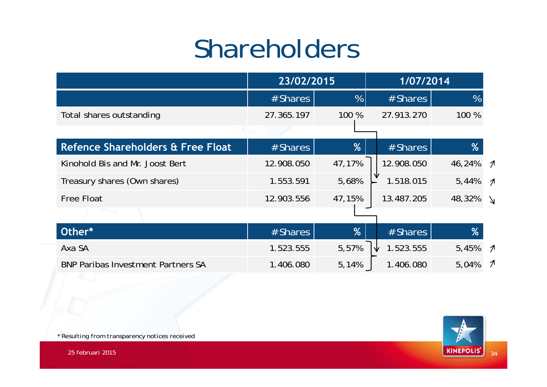# Shareholders

|                                           | 23/02/2015 |        | 1/07/2014  |        |                            |
|-------------------------------------------|------------|--------|------------|--------|----------------------------|
|                                           | # Shares   | %      | # Shares   | %      |                            |
| Total shares outstanding                  | 27.365.197 | 100 %  | 27.913.270 | 100 %  |                            |
|                                           |            |        |            |        |                            |
| Refence Shareholders & Free Float         | # Shares   | %      | # Shares   | %      |                            |
| Kinohold Bis and Mr. Joost Bert           | 12.908.050 | 47,17% | 12.908.050 | 46,24% | $\boldsymbol{\mathcal{A}}$ |
| Treasury shares (Own shares)              | 1.553.591  | 5,68%  | 1.518.015  | 5,44%  | $\boldsymbol{\mathcal{A}}$ |
| <b>Free Float</b>                         | 12.903.556 | 47,15% | 13.487.205 | 48,32% | $\Delta$                   |
|                                           |            |        |            |        |                            |
| Other*                                    | # Shares   | %      | $#$ Shares | %      |                            |
| Axa SA                                    | 1.523.555  | 5,57%  | 1.523.555  | 5,45%  | $\mathcal{I}$              |
| <b>BNP Paribas Investment Partners SA</b> | 1.406.080  | 5,14%  | 1.406.080  | 5,04%  | $\mathcal{I}$              |



*\* Resulting from transparency notices received*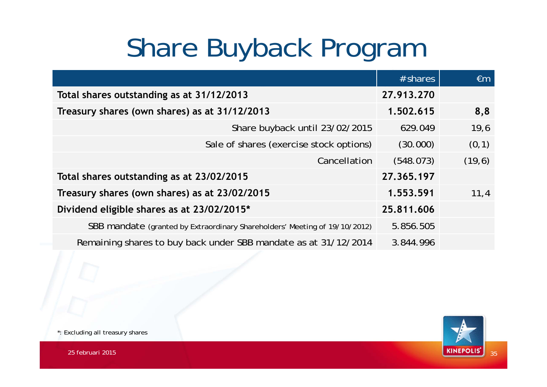# Share Buyback Program

|                                                                            | $#$ shares | $\epsilon$ m |
|----------------------------------------------------------------------------|------------|--------------|
| Total shares outstanding as at 31/12/2013                                  | 27.913.270 |              |
| Treasury shares (own shares) as at 31/12/2013                              | 1.502.615  | 8,8          |
| Share buyback until 23/02/2015                                             | 629.049    | 19,6         |
| Sale of shares (exercise stock options)                                    | (30.000)   | (0,1)        |
| Cancellation                                                               | (548.073)  | (19, 6)      |
| Total shares outstanding as at 23/02/2015                                  | 27.365.197 |              |
| Treasury shares (own shares) as at 23/02/2015                              | 1,553,591  | 11,4         |
| Dividend eligible shares as at 23/02/2015*                                 | 25.811.606 |              |
| SBB mandate (granted by Extraordinary Shareholders' Meeting of 19/10/2012) | 5.856.505  |              |
| Remaining shares to buy back under SBB mandate as at 31/12/2014            | 3.844.996  |              |



\*: Excluding all treasury shares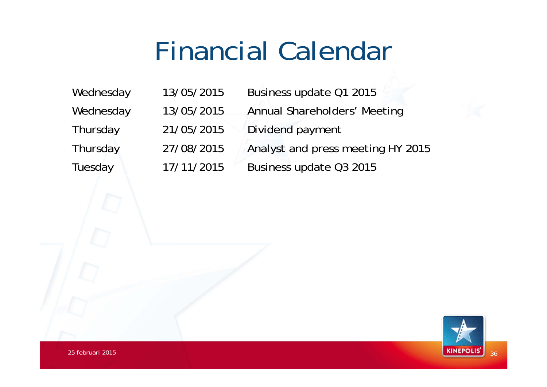# Financial Calendar

Wednesday 13/05/2015 Business update Q1 2015 Wednesday 13/05/2015 Annual Shareholders' Meeting Thursday 21/05/2015 Dividend payment Thursday 27/08/2015 Analyst and press meeting HY 2015 Tuesday 17/11/2015 Business update Q3 2015

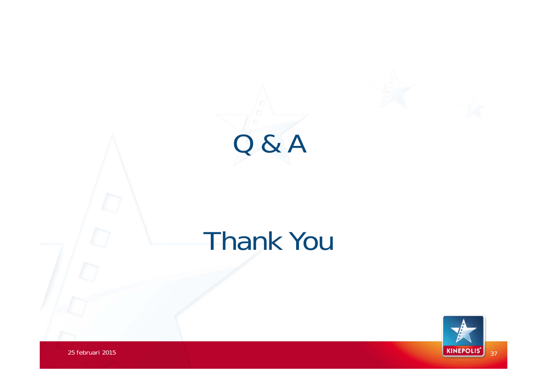



#### Thank You

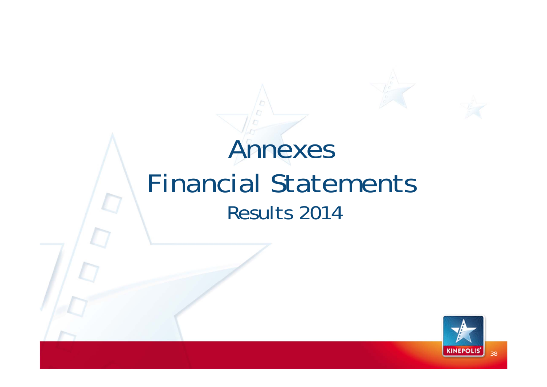#### Annexes Financial Statements Results 2014

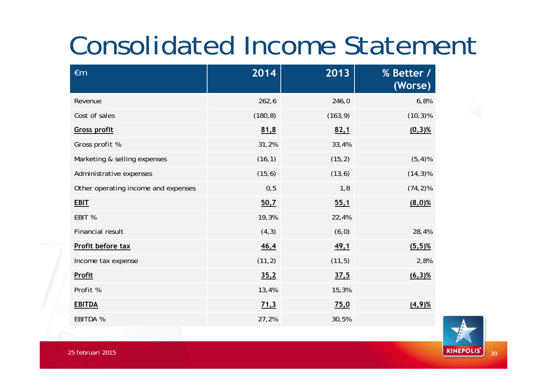# Consolidated Income Statement

| $\epsilon$ m                        | 2014     | 2013     | % Better /<br>(Worse) |
|-------------------------------------|----------|----------|-----------------------|
| Revenue                             | 262, 6   | 246,0    | 6,8%                  |
| Cost of sales                       | (180, 8) | (163, 9) | $(10, 3)$ %           |
| <b>Gross profit</b>                 | 81,8     | 82,1     | $(0,3)$ %             |
| Gross profit %                      | 31,2%    | 33,4%    |                       |
| Marketing & selling expenses        | (16, 1)  | (15, 2)  | $(5, 4)$ %            |
| Administrative expenses             | (15, 6)  | (13, 6)  | $(14,3)\%$            |
| Other operating income and expenses | 0, 5     | 1,8      | $(74, 2)\%$           |
| <b>EBIT</b>                         | 50,7     | 55,1     | $(8,0)$ %             |
| EBIT %                              | 19,3%    | 22,4%    |                       |
| Financial result                    | (4, 3)   | (6, 0)   | 28,4%                 |
| Profit before tax                   | 46,4     | 49,1     | $(5,5)$ %             |
| Income tax expense                  | (11, 2)  | (11, 5)  | 2,8%                  |
| Profit                              | 35,2     | 37,5     | $(6,3)$ %             |
| Profit %                            | 13,4%    | 15,3%    |                       |
| <b>EBITDA</b>                       | 71,3     | 75,0     | $(4,9)$ %             |
| EBITDA %                            | 27,2%    | 30,5%    |                       |

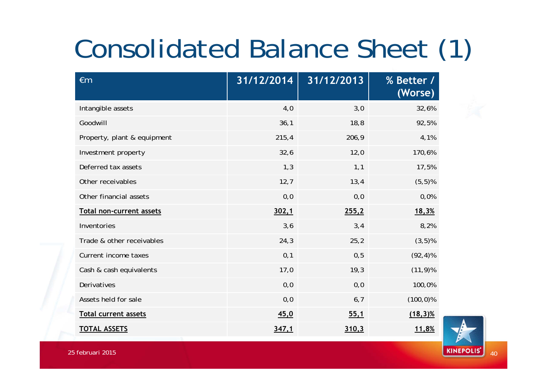# Consolidated Balance Sheet (1)

| $\epsilon$ m                | 31/12/2014 | 31/12/2013 | <b>% Better 7</b><br>(Worse) |
|-----------------------------|------------|------------|------------------------------|
| Intangible assets           | 4,0        | 3,0        | 32,6%                        |
| Goodwill                    | 36,1       | 18,8       | 92,5%                        |
| Property, plant & equipment | 215,4      | 206,9      | 4,1%                         |
| Investment property         | 32,6       | 12,0       | 170,6%                       |
| Deferred tax assets         | 1,3        | 1,1        | 17,5%                        |
| Other receivables           | 12,7       | 13,4       | $(5,5)$ %                    |
| Other financial assets      | 0, 0       | 0, 0       | 0,0%                         |
| Total non-current assets    | 302,1      | 255,2      | 18,3%                        |
| Inventories                 | 3,6        | 3,4        | 8,2%                         |
| Trade & other receivables   | 24,3       | 25,2       | $(3,5)$ %                    |
| Current income taxes        | 0,1        | 0, 5       | $(92, 4)$ %                  |
| Cash & cash equivalents     | 17,0       | 19,3       | $(11, 9)$ %                  |
| Derivatives                 | 0, 0       | 0, 0       | 100,0%                       |
| Assets held for sale        | 0,0        | 6,7        | $(100, 0)\%$                 |
| <b>Total current assets</b> | 45,0       | 55,1       | $(18,3)\%$                   |
| <b>TOTAL ASSETS</b>         | 347,1      | 310,3      | 11,8%                        |

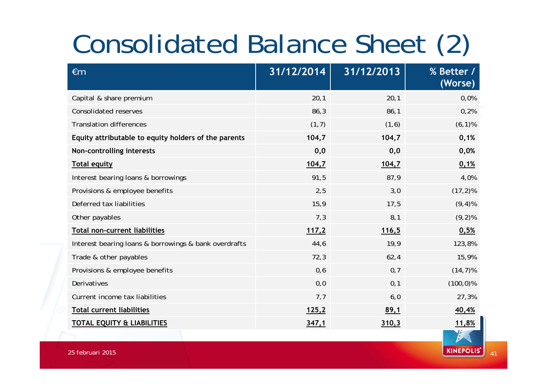# Consolidated Balance Sheet (2)

| $\epsilon$ m                                          | 31/12/2014 | 31/12/2013 | <b>% Better 7</b><br>(Worse) |
|-------------------------------------------------------|------------|------------|------------------------------|
| Capital & share premium                               | 20,1       | 20,1       | 0,0%                         |
| <b>Consolidated reserves</b>                          | 86,3       | 86,1       | 0,2%                         |
| <b>Translation differences</b>                        | (1,7)      | (1, 6)     | $(6, 1)$ %                   |
| Equity attributable to equity holders of the parents  | 104,7      | 104,7      | 0,1%                         |
| Non-controlling interests                             | 0,0        | 0,0        | 0,0%                         |
| <b>Total equity</b>                                   | 104,7      | 104,7      | 0,1%                         |
| Interest bearing loans & borrowings                   | 91,5       | 87,9       | 4,0%                         |
| Provisions & employee benefits                        | 2,5        | 3,0        | $(17, 2)$ %                  |
| Deferred tax liabilities                              | 15,9       | 17,5       | $(9, 4)$ %                   |
| Other payables                                        | 7,3        | 8,1        | $(9, 2)$ %                   |
| <b>Total non-current liabilities</b>                  | 117,2      | 116,5      | 0,5%                         |
| Interest bearing loans & borrowings & bank overdrafts | 44,6       | 19,9       | 123,8%                       |
| Trade & other payables                                | 72,3       | 62,4       | 15,9%                        |
| Provisions & employee benefits                        | 0,6        | 0,7        | $(14, 7)$ %                  |
| Derivatives                                           | 0, 0       | 0,1        | $(100, 0)\%$                 |
| Current income tax liabilities                        | 7,7        | 6,0        | 27,3%                        |
| Total current liabilities                             | 125,2      | 89,1       | 40,4%                        |
| <b>TOTAL EQUITY &amp; LIABILITIES</b>                 | 347,1      | 310,3      | 11,8%                        |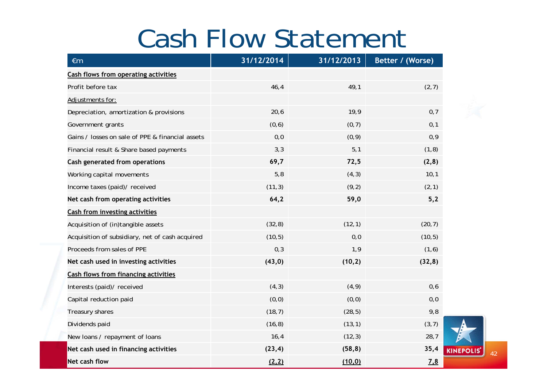#### Cash Flow Statement

| $\epsilon$ m                                     | 31/12/2014 | 31/12/2013 | Better / (Worse) |
|--------------------------------------------------|------------|------------|------------------|
| <b>Cash flows from operating activities</b>      |            |            |                  |
| Profit before tax                                | 46,4       | 49,1       | (2,7)            |
| Adjustments for:                                 |            |            |                  |
| Depreciation, amortization & provisions          | 20,6       | 19,9       | 0,7              |
| Government grants                                | (0,6)      | (0, 7)     | 0,1              |
| Gains / losses on sale of PPE & financial assets | 0, 0       | (0, 9)     | 0,9              |
| Financial result & Share based payments          | 3,3        | 5,1        | (1, 8)           |
| Cash generated from operations                   | 69,7       | 72,5       | (2, 8)           |
| Working capital movements                        | 5,8        | (4, 3)     | 10,1             |
| Income taxes (paid)/ received                    | (11, 3)    | (9,2)      | (2, 1)           |
| Net cash from operating activities               | 64,2       | 59,0       | 5,2              |
| <b>Cash from investing activities</b>            |            |            |                  |
| Acquisition of (in)tangible assets               | (32, 8)    | (12, 1)    | (20, 7)          |
| Acquisition of subsidiary, net of cash acquired  | (10, 5)    | 0, 0       | (10, 5)          |
| Proceeds from sales of PPE                       | 0,3        | 1,9        | (1, 6)           |
| Net cash used in investing activities            | (43, 0)    | (10, 2)    | (32, 8)          |
| <b>Cash flows from financing activities</b>      |            |            |                  |
| Interests (paid)/ received                       | (4, 3)     | (4, 9)     | 0,6              |
| Capital reduction paid                           | (0,0)      | (0, 0)     | 0, 0             |
| Treasury shares                                  | (18, 7)    | (28, 5)    | 9,8              |
| Dividends paid                                   | (16, 8)    | (13, 1)    | (3, 7)           |
| New loans / repayment of loans                   | 16,4       | (12, 3)    | 28,7             |
| Net cash used in financing activities            | (23, 4)    | (58, 8)    | 35,4             |
| Net cash flow                                    | (2,2)      | (10, 0)    | 7.8              |

42